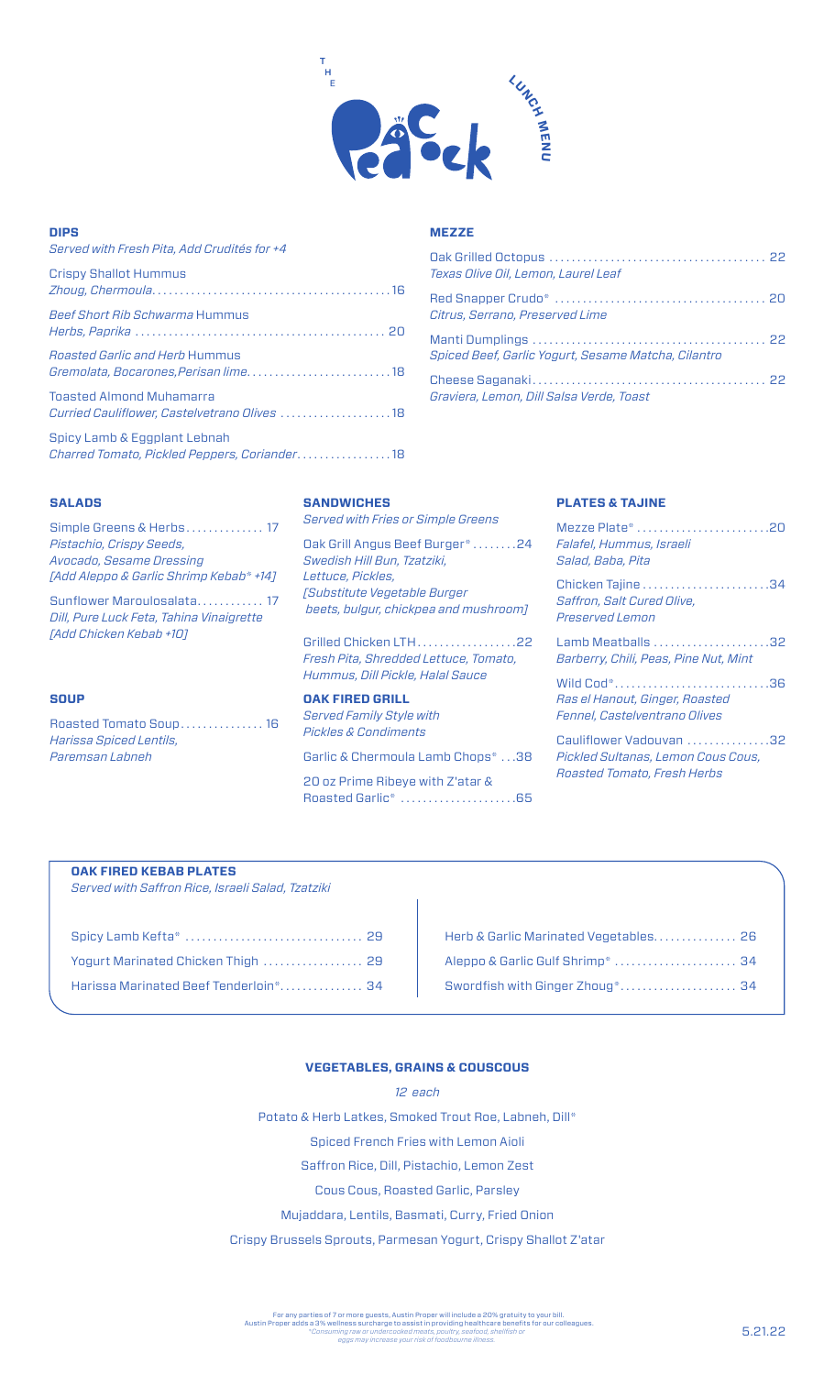

### **DIPS**

| Served with Fresh Pita, Add Crudités for +4                                     |
|---------------------------------------------------------------------------------|
| <b>Crispy Shallot Hummus</b>                                                    |
| <b>Beef Short Rib Schwarma Hummus</b>                                           |
| <i>Roasted Garlic and Herb Hummus</i>                                           |
| <b>Toasted Almond Muhamarra</b><br>Curried Cauliflower, Castelvetrano Olives 18 |
| Spicy Lamb & Eggplant Lebnah<br>Charred Tomato, Pickled Peppers, Coriander18    |

## **MEZZE**

| Texas Olive Oil, Lemon, Laurel Leaf                 |  |
|-----------------------------------------------------|--|
| Citrus, Serrano, Preserved Lime                     |  |
| Spiced Beef, Garlic Yogurt, Sesame Matcha, Cilantro |  |
| Graviera, Lemon, Dill Salsa Verde, Toast            |  |

### **SALADS**

Simple Greens & Herbs . . . . . . . . . . . . . 17 *Pistachio, Crispy Seeds, Avocado, Sesame Dressing [Add Aleppo & Garlic Shrimp Kebab\* +14]*

Sunflower Maroulosalata............ 17 *Dill, Pure Luck Feta, Tahina Vinaigrette [Add Chicken Kebab +10]*

### **SOUP**

Roasted Tomato Soup . . . . . . . . . . . . . . . 16 *Harissa Spiced Lentils, Paremsan Labneh* 

## **SANDWICHES**

*Served with Fries or Simple Greens* Oak Grill Angus Beef Burger\* . . . . . . . .24 *Swedish Hill Bun, Tzatziki, Lettuce, Pickles, [Substitute Vegetable Burger beets, bulgur, chickpea and mushroom]*

Grilled Chicken LTH . . . . . . . . . . . . . . . . . 22 *Fresh Pita, Shredded Lettuce, Tomato, Hummus, Dill Pickle, Halal Sauce* 

**OAK FIRED GRILL**

*Served Family Style with Pickles & Condiments*

Garlic & Chermoula Lamb Chops\* . . .38

20 oz Prime Ribeye with Z'atar & Roasted Garlic\* . . . . . . . . . . . . . . . . . . . . .65

### **PLATES & TAJINE**

| Mezze Plate* 20<br>Falafel, Hummus, Israeli<br>Salad, Baba, Pita   |  |
|--------------------------------------------------------------------|--|
| Chicken Tajine 34<br>Saffron, Salt Cured Olive,<br>Preserved Lemon |  |
| Barberry, Chili, Peas, Pine Nut, Mint                              |  |
| Ras el Hanout, Ginger, Roasted<br>Fennel, Castelventrano Olives    |  |
| Cauliflower Vadouvan 32                                            |  |

*Pickled Sultanas, Lemon Cous Cous, Roasted Tomato, Fresh Herbs*

## **OAK FIRED KEBAB PLATES**

*Served with Saffron Rice, Israeli Salad, Tzatziki*

| Yogurt Marinated Chicken Thigh  29    |  |
|---------------------------------------|--|
| Harissa Marinated Beef Tenderloin* 34 |  |

| Herb & Garlic Marinated Vegetables 26 |  |
|---------------------------------------|--|
| Aleppo & Garlic Gulf Shrimp*  34      |  |
| Swordfish with Ginger Zhoug* 34       |  |

### **VEGETABLES, GRAINS & COUSCOUS**

*12 each* Potato & Herb Latkes, Smoked Trout Roe, Labneh, Dill\* Spiced French Fries with Lemon Aioli Saffron Rice, Dill, Pistachio, Lemon Zest Cous Cous, Roasted Garlic, Parsley Mujaddara, Lentils, Basmati, Curry, Fried Onion

Crispy Brussels Sprouts, Parmesan Yogurt, Crispy Shallot Z'atar